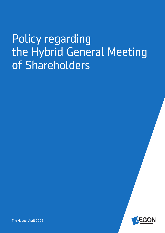# Policy regarding the Hybrid General Meeting of Shareholders



The Hague, April 2022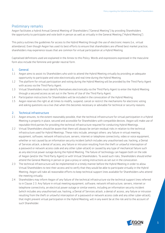## Preliminary remarks

Aegon facilitates a hybrid Annual General Meeting of Shareholders ("General Meeting") by providing Shareholders the opportunity to participate and vote both in person as well as virtually in the General Meeting ("Hybrid Meeting").

This policy outlines the guidelines for access to the Hybrid Meeting through the use of electronic means (i.e., virtual attendance). Even though Aegon has used its best efforts to ensure that shareholders are offered best market practice, shareholders may experience issues that are common for virtual participation at a Hybrid Meeting.

Capitalised definitions used are explained in the Annex to this Policy. Words and expressions expressed in the masculine form also include the feminine and gender neutral form.

#### 1. General

- 1.1 Aegon aims to assist its Shareholders who wish to attend the Hybrid Meeting virtually by providing an adequate opportunity to participate and vote electronically and real time during the Hybrid Meeting.
- 1.2 The platform for virtual participation and voting during the Hybrid Meeting will be provided by the Third Party Agent with access via the Third Party Agent.
- 1.3 Virtual Shareholders must identify themselves electronically via the Third Party Agent to enter the Hybrid Meeting through a secured access as set out in the Terms of Use of the Third Party Agent.
- 1.4 Participation instructions for Shareholders will be included in the convocation of the Hybrid Meeting.
- 1.5 Aegon reserves the right at all times to modify, suspend, cancel or restrict the mechanisms for electronic voting and asking questions via a live chat when this becomes necessary or advisable for technical or security reasons.

#### 2. Technical infrastructure

- 2.1 Aegon ensures, to the extent reasonably possible, that the technical infrastructure for virtual participation in a Hybrid Meeting is properly in place, secured and accessible for Shareholders with compatible devices. Aegon will make use of reputable third parties for providing the technical infrastructure required for conducting Hybrid Meetings.
- 2.2 Virtual Shareholders should be aware that there will always be certain residual risks in relation to the technical infrastructure used for Hybrid Meetings. These risks include, amongst others: any failure in virtual meeting equipment, software, network infrastructure, servers, internet or telephone connectivity, video or voice equipment, whether or not caused by an information security incident (which includes any unauthorised use, hacking, a Denial of Services attack, a denial of access, any failure or intrusion resulting from the theft or unlawful interception of a password or network access code and any other cyber-attack) or caused by any type of mechanical failure such as any electrical power outage during the Hybrid Meeting. The failure of technology can happen both on the side of Aegon (and/or the Third Party Agent) or with Virtual Shareholders. To avoid such risks, Shareholders should either attend the General Meeting in person or give a proxy or voting instructions as set out in the convocation.
- 2.3 The technical infrastructure will be implemented in a timely manner before the Hybrid Meeting in order to allow Virtual Shareholders to test their access and to verify that they would be able to participate virtually in the Hybrid Meeting. Aegon will take all reasonable efforts to keep technical support lines available for Shareholders who attend the meeting virtually.
- 2.4 Shareholders may inform Aegon of any failure of the technical infrastructure via the technical support lines referred to in Clause 2.3. Any failure in virtual meeting equipment, software, network infrastructure, servers, internet or telephone connectivity, an electrical power outage or similar events, including an information security incident (which includes any unauthorised use, hacking, a Denial of Services attack, a denial of access, any failure or intrusion resulting from the theft or unlawful interception of a password or network access code and any other cyber-attack), that might prevent virtual participation in the Hybrid Meeting, will in any event be at the risk and to the account of such Shareholder.

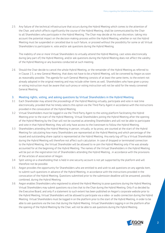2.5 Any failure of the technical infrastructure that occurs during the Hybrid Meeting which comes to the attention of the Chair, and which affects significantly the course of the Hybrid Meeting, shall be communicated by the Chair to all Shareholders who participate in the Hybrid Meeting. The Chair may decide at his own discretion, taking into account the potential impact on the decision making-process within the Hybrid Meeting, whether or not the Hybrid Meeting must be suspended or cancelled due to such failure, or proceed without the possibility for some or all Virtual Shareholders to participate in, vote and/or ask questions during the Hybrid Meeting.

The inability of one or more Virtual Shareholders to virtually attend the Hybrid Meeting, cast votes electronically during (any part of) the Hybrid Meeting, and/or ask questions during the Hybrid Meeting does not affect the validity of the Hybrid Meeting or any business conducted at such meeting.

2.6 Should the Chair decide to cancel the whole Hybrid Meeting, or the remainder of the Hybrid Meeting as referred to in Clause 2.5, a new General Meeting, that does not have to be a Hybrid Meeting, will be convened by Aegon as soon as reasonably possible. The agenda for such General Meeting consists of at least the same items, to the extent not already adopted in the original meeting and may include other items as well. Shareholders who have given a proxy or voting instruction must be aware that such proxy or voting instruction will not be valid for the newly convened General Meeting.

#### 3. Meeting rights, voting, and asking questions by Virtual Shareholders in the Hybrid Meeting

- 3.1 Each Shareholder may attend the proceedings of the Hybrid Meeting virtually, participate and vote in real time electronically, provided that he timely selects this option via the Third Party Agent in accordance with the instructions provided in the convocation of the Hybrid Meeting.
- 3.2 Virtual Shareholders must be logged in via the Third Party Agent to the voting platform facilitating the Hybrid Meeting prior to the start of the Hybrid Meeting. Virtual Shareholders joining the Hybrid Meeting after the opening of the Hybrid Meeting by the Chair will not be counted as attending Shareholders and will not be able to participate and vote in that Hybrid Meeting; they will only have access to the livestream to follow the Hybrid Meeting.
- 3.3 Shareholders attending the Hybrid Meeting in person, virtually, or by proxy, are counted at the start of the Hybrid Meeting for calculating how many Shareholders are represented at the Hybrid Meeting and which percentage of the issued and outstanding share capital is represented at the Hybrid Meeting. Any early log-off by a Virtual Shareholder during the Hybrid Meeting will therefore not affect such calculation. In case of dropped or terminated connection to the Hybrid Meeting, the Virtual Shareholder will be allowed to re-join the Hybrid Meeting only if he was already accounted for at the beginning of the Hybrid Meeting. The names of the Virtual Shareholders in the Hybrid Meeting will be put on the registration list of Shareholders attending the Hybrid Meeting , in accordance with the provisions of the articles of association of Aegon.
- 3.4 Split voting on a shareholding that is held in one security account is not yet supported by the platform and will therefore not be possible.
- 3.5 Aegon provides the opportunity for Shareholders who are entitled to and wish to ask questions on any agenda item, to submit such questions in advance of the Hybrid Meeting, in accordance with the instructions provided in the convocation of the Hybrid Meeting. Questions submitted prior to the submission deadline will be answered, possibly combined, during the Hybrid Meeting.
- 3.6 Aegon enables Shareholders who registered to attend the Hybrid Meeting to pose questions during the Hybrid Meeting. Virtual Shareholders may submit questions via a live chat to the Chair during the Hybrid Meeting. Only if so decided by the Executive Board, and only if a statement to such extent has been published on Aegon's corporate website prior to the Hybrid Meeting, Virtual Shareholders will be allowed to participate via a video- or audio connection during the Hybrid Meeting. Virtual Shareholders must be logged in on the platform prior to the start of the Hybrid Meeting, in order to be able to ask questions via the live chat during the Hybrid Meeting. Virtual Shareholders logging in on the platform after the opening of the Hybrid Meeting by the Chair, will not be able to ask questions during the Hybrid Meeting.

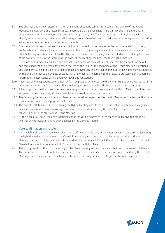- 3.7 The Chair will, at his own discretion, alternate among questions submitted in person, in advance of the Hybrid Meeting, and questions submitted by Virtual Shareholders via a live chat. The Chair may set time limits and/or question limits for Shareholders when deemed appropriate by him. The Chair may require Shareholders who have already asked questions, to wait until all other questioners have had a turn to ask questions on a given matter, before asking any other questions or making any comments.
- 3.8 Questions or comments that are, for example (but not limited to), not related to the proposal under discussion, are (substantially) already being asked or made at the Hybrid Meeting, are about personal concerns not shared by Shareholders generally, or use blatantly offensive or inappropriate language may be ruled out of order by the Chair at his own discretion. In the interest of the order of the meeting, the Chair can take further measures.
- 3.9 Questions or comments submitted by a Virtual Shareholder via the chat in real time, may be checked, sorted out, and combined first by a person designated thereto by the Chair at the beginning of the Hybrid Meeting. Questions and comments are in principle not asked or made anonymously by a Virtual Shareholder as his name may be disclosed by the Chair. In order to participate virtually, a Shareholder has to agree with the relevant processing of this personal information in accordance with the relevant laws and regulations.
- 3.10 Aegon avoids the appearance of, or potential for, manipulation with respect to the way it might screen, organise, combine, prioritise and answer, or fail to answer, Shareholders' questions received in advance or real time via the internet.
- 3.11 All appropriate questions that have been received prior to and during the course of the Hybrid Meeting, and Aegon's answers to these questions, will be inserted in or annexed to the written records.
- 3.12 The Company Secretary will *inter alia* observe the procedural aspects of the Hybrid Meeting and review the final vote reconciliation prior to certifying the final results.
- 3.13 The polls for all items will be open during the Hybrid Meeting and closed after the last voting item on the agenda has been discussed. Provisional voting results will not be disclosed during the Hybrid Meeting. The polls are not open for voting prior to the start of the Hybrid Meeting.
- 3.14 At the close of all polls, the Chair's decision about the voting expressed in the meeting is decisive to determine whether or not resolutions have been adopted by the General Meeting.

### 4. Vote confirmation and results

- 4.1 A Virtual Shareholder will receive an electronic confirmation of receipt of the votes he has cast electronically during the Hybrid Meeting. Upon request of a Virtual Shareholder, a confirmation that his votes cast during the Hybrid Meeting have been validly recorded and counted will be sent to such Virtual Shareholder. Such request of a Virtual Shareholder should be received within 3 months after the Hybrid Meeting.
- 4.2 The voting results of the Hybrid Meeting will be placed on Aegon's corporate website in accordance with Dutch law. The notice of these results will also state whether there were any failures or issues encountered during the Hybrid Meeting from a technical infrastructural or information security perspective Aegon has become aware of.